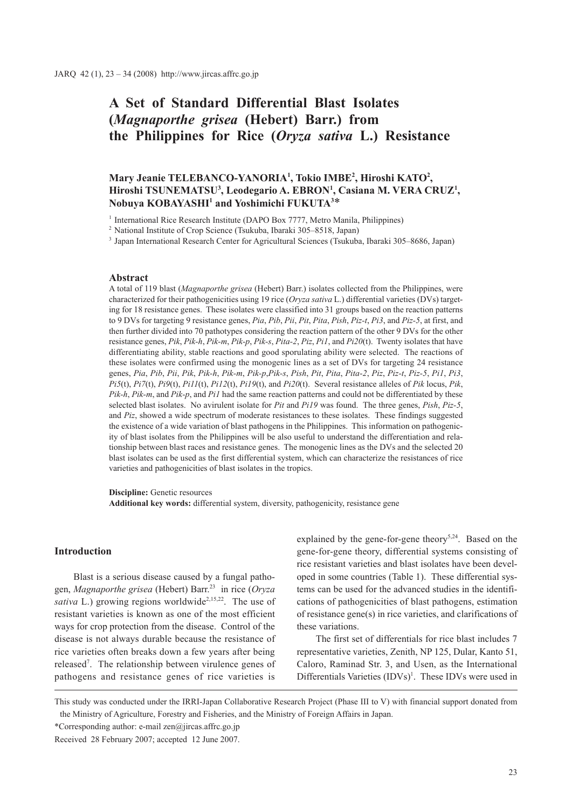# **A Set of Standard Differential Blast Isolates (***Magnaporthe grisea* **(Hebert) Barr.) from the Philippines for Rice (***Oryza sativa* **L.) Resistance**

# **Mary Jeanie TELEBANCO-YANORIA1 , Tokio IMBE2 , Hiroshi KATO2 ,**  Hiroshi TSUNEMATSU<sup>3</sup>, Leodegario A. EBRON<sup>1</sup>, Casiana M. VERA CRUZ<sup>1</sup>, **Nobuya KOBAYASHI1 and Yoshimichi FUKUTA3** \*

<sup>1</sup> International Rice Research Institute (DAPO Box 7777, Metro Manila, Philippines)

<sup>2</sup> National Institute of Crop Science (Tsukuba, Ibaraki 305–8518, Japan)

<sup>3</sup> Japan International Research Center for Agricultural Sciences (Tsukuba, Ibaraki 305–8686, Japan)

### **Abstract**

A total of 119 blast (*Magnaporthe grisea* (Hebert) Barr.) isolates collected from the Philippines, were characterized for their pathogenicities using 19 rice (*Oryza sativa* L.) differential varieties (DVs) targeting for 18 resistance genes. These isolates were classified into 31 groups based on the reaction patterns to 9 DVs for targeting 9 resistance genes, *Pia*, *Pib*, *Pii*, *Pit*, *Pita*, *Pish*, *Piz-t*, *Pi3*, and *Piz-5*, at first, and then further divided into 70 pathotypes considering the reaction pattern of the other 9 DVs for the other resistance genes, *Pik*, *Pik-h*, *Pik-m*, *Pik-p*, *Pik-s*, *Pita-2*, *Piz*, *Pi1*, and *Pi20*(t). Twenty isolates that have differentiating ability, stable reactions and good sporulating ability were selected. The reactions of these isolates were confirmed using the monogenic lines as a set of DVs for targeting 24 resistance genes, Pia, Pib, Pii, Pik, Pik-h, Pik-m, Pik-p, Pik-s, Pish, Pit, Pita, Pita-2, Piz, Piz-t, Piz-5, Pi1, Pi3, *Pi5*(t), *Pi7*(t), *Pi9*(t), *Pi11*(t), *Pi12*(t), *Pi19*(t), and *Pi20*(t). Several resistance alleles of *Pik* locus, *Pik*, *Pik-h*, *Pik-m*, and *Pik-p*, and *Pi1* had the same reaction patterns and could not be differentiated by these selected blast isolates. No avirulent isolate for *Pit* and *Pi19* was found. The three genes, *Pish*, *Piz-5*, and *Piz*, showed a wide spectrum of moderate resistances to these isolates. These findings suggested the existence of a wide variation of blast pathogens in the Philippines. This information on pathogenicity of blast isolates from the Philippines will be also useful to understand the differentiation and relationship between blast races and resistance genes. The monogenic lines as the DVs and the selected 20 blast isolates can be used as the first differential system, which can characterize the resistances of rice varieties and pathogenicities of blast isolates in the tropics.

**Discipline:** Genetic resources **Additional key words:** differential system, diversity, pathogenicity, resistance gene

### **Introduction**

Blast is a serious disease caused by a fungal pathogen, *Magnaporthe grisea* (Hebert) Barr.23 in rice (*Oryza sativa* L.) growing regions worldwide<sup>2,15,22</sup>. The use of resistant varieties is known as one of the most efficient ways for crop protection from the disease. Control of the disease is not always durable because the resistance of rice varieties often breaks down a few years after being released<sup>7</sup>. The relationship between virulence genes of pathogens and resistance genes of rice varieties is

explained by the gene-for-gene theory<sup>5,24</sup>. Based on the gene-for-gene theory, differential systems consisting of rice resistant varieties and blast isolates have been developed in some countries (Table 1). These differential systems can be used for the advanced studies in the identifications of pathogenicities of blast pathogens, estimation of resistance gene(s) in rice varieties, and clarifications of these variations.

The first set of differentials for rice blast includes 7 representative varieties, Zenith, NP 125, Dular, Kanto 51, Caloro, Raminad Str. 3, and Usen, as the International Differentials Varieties  $(IDVs)^{1}$ . These IDVs were used in

\*Corresponding author: e-mail zen@jircas.affrc.go.jp

This study was conducted under the IRRI-Japan Collaborative Research Project (Phase III to V) with financial support donated from the Ministry of Agriculture, Forestry and Fisheries, and the Ministry of Foreign Affairs in Japan.

Received 28 February 2007; accepted 12 June 2007.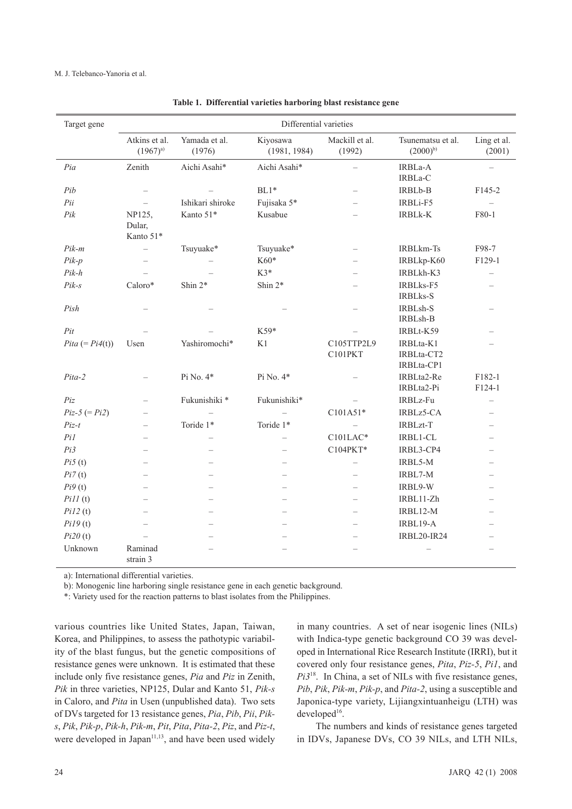| Target gene       |                               |                          | Differential varieties   |                          |                                       |                          |
|-------------------|-------------------------------|--------------------------|--------------------------|--------------------------|---------------------------------------|--------------------------|
|                   | Atkins et al.<br>$(1967)^{a}$ | Yamada et al.<br>(1976)  | Kiyosawa<br>(1981, 1984) | Mackill et al.<br>(1992) | Tsunematsu et al.<br>$(2000)^{b}$     | Ling et al.<br>(2001)    |
| Pia               | Zenith                        | Aichi Asahi*             | Aichi Asahi*             | $\qquad \qquad -$        | IRBLa-A<br>IRBLa-C                    | $\qquad \qquad -$        |
| Pib               | $\overline{\phantom{0}}$      |                          | $BL1*$                   |                          | IRBLb-B                               | F <sub>145</sub> -2      |
| Pii               | $\overline{a}$                | Ishikari shiroke         | Fujisaka 5*              |                          | IRBLi-F5                              |                          |
| Pik               | NP125,<br>Dular,<br>Kanto 51* | Kanto 51*                | Kusabue                  |                          | <b>IRBLk-K</b>                        | F80-1                    |
| $Pik-m$           | $\overline{\phantom{0}}$      | Tsuyuake*                | Tsuyuake*                |                          | <b>IRBLkm-Ts</b>                      | F98-7                    |
| $Pik-p$           |                               |                          | K60*                     |                          | IRBLkp-K60                            | F129-1                   |
| $Pik-h$           | $\overline{\phantom{0}}$      |                          | $K3*$                    |                          | IRBLkh-K3                             | $\overline{\phantom{0}}$ |
| $Pik-S$           | Caloro*                       | Shin 2*                  | Shin $2*$                |                          | IRBLks-F5<br><b>IRBLks-S</b>          |                          |
| Pish              |                               |                          |                          | $\overline{\phantom{0}}$ | IRBLsh-S<br>IRBLsh-B                  |                          |
| Pit               |                               |                          | K59*                     |                          | IRBLt-K59                             |                          |
| $Pita (= Pi4(t))$ | Usen                          | Yashiromochi*            | K1                       | C105TTP2L9<br>C101PKT    | IRBLta-K1<br>IRBLta-CT2<br>IRBLta-CP1 |                          |
| Pita-2            |                               | Pi No. 4*                | Pi No. 4*                |                          | IRBLta2-Re<br>IRBLta2-Pi              | F182-1<br>F124-1         |
| Piz               |                               | Fukunishiki *            | Fukunishiki*             |                          | IRBLz-Fu                              | $\overline{\phantom{a}}$ |
| $Piz-5 (= Pi2)$   |                               | $\overline{\phantom{0}}$ | $\overline{\phantom{0}}$ | C101A51*                 | IRBLz5-CA                             |                          |
| $Piz-t$           |                               | Toride 1*                | Toride 1*                | $\overline{\phantom{0}}$ | <b>IRBLzt-T</b>                       |                          |
| PiI               |                               | $\overline{\phantom{0}}$ | $\overline{\phantom{0}}$ | C101LAC*                 | IRBL1-CL                              |                          |
| Pi3               |                               | $\overline{\phantom{0}}$ | $\overline{\phantom{0}}$ | C104PKT*                 | IRBL3-CP4                             |                          |
| Pi5(t)            |                               | $\overline{\phantom{0}}$ | $\overline{\phantom{0}}$ |                          | IRBL5-M                               |                          |
| Pi7(t)            |                               | $\overline{\phantom{0}}$ | $\overline{\phantom{0}}$ | $\overline{\phantom{0}}$ | IRBL7-M                               |                          |
| Pi9(t)            |                               |                          | $\overline{\phantom{0}}$ | $\overline{\phantom{0}}$ | IRBL9-W                               |                          |
| PiII(t)           |                               |                          | $\overline{ }$           |                          | IRBL11-Zh                             |                          |
| Pi12(t)           |                               |                          |                          |                          | IRBL12-M                              |                          |
| Pi19(t)           |                               |                          |                          |                          | IRBL19-A                              |                          |
| Pi20(t)           |                               |                          |                          |                          | <b>IRBL20-IR24</b>                    |                          |
| Unknown           | Raminad<br>strain 3           |                          |                          |                          | $\overline{\phantom{0}}$              |                          |

**Table 1. Differential varieties harboring blast resistance gene**

a): International differential varieties.

b): Monogenic line harboring single resistance gene in each genetic background.

\*: Variety used for the reaction patterns to blast isolates from the Philippines.

various countries like United States, Japan, Taiwan, Korea, and Philippines, to assess the pathotypic variability of the blast fungus, but the genetic compositions of resistance genes were unknown. It is estimated that these include only five resistance genes, *Pia* and *Piz* in Zenith, *Pik* in three varieties, NP125, Dular and Kanto 51, *Pik-s* in Caloro, and *Pita* in Usen (unpublished data). Two sets of DVs targeted for 13 resistance genes, *Pia*, *Pib*, *Pii*, *Piks*, *Pik*, *Pik-p*, *Pik-h*, *Pik-m*, *Pit*, *Pita*, *Pita-2*, *Piz*, and *Piz-t*, were developed in Japan<sup>11,13</sup>, and have been used widely

in many countries. A set of near isogenic lines (NILs) with Indica-type genetic background CO 39 was developed in International Rice Research Institute (IRRI), but it covered only four resistance genes, *Pita*, *Piz-5*, *Pi1*, and *Pi3*18. In China, a set of NILs with five resistance genes, *Pib*, *Pik*, *Pik-m*, *Pik-p*, and *Pita-2*, using a susceptible and Japonica-type variety, Lijiangxintuanheigu (LTH) was developed<sup>16</sup>.

The numbers and kinds of resistance genes targeted in IDVs, Japanese DVs, CO 39 NILs, and LTH NILs,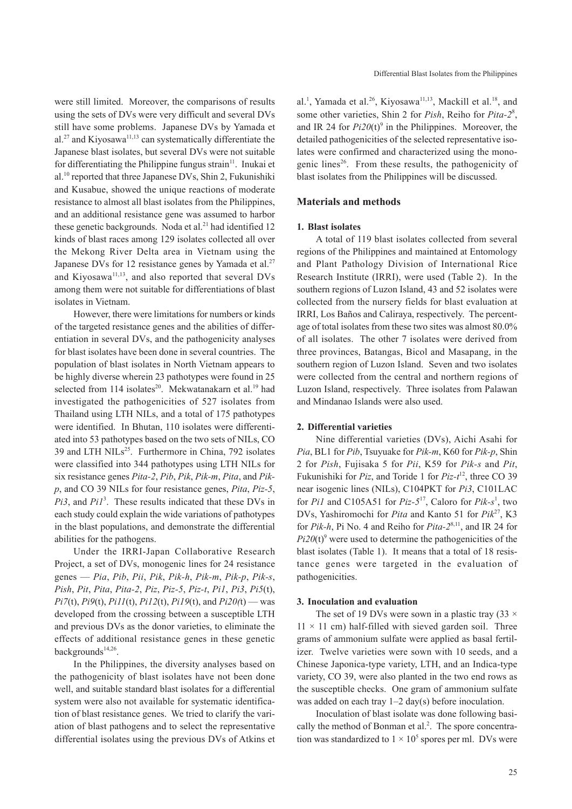were still limited. Moreover, the comparisons of results using the sets of DVs were very difficult and several DVs still have some problems. Japanese DVs by Yamada et al.<sup>27</sup> and Kiyosawa<sup>11,13</sup> can systematically differentiate the Japanese blast isolates, but several DVs were not suitable for differentiating the Philippine fungus strain<sup>11</sup>. Inukai et al.10 reported that three Japanese DVs, Shin 2, Fukunishiki and Kusabue, showed the unique reactions of moderate resistance to almost all blast isolates from the Philippines, and an additional resistance gene was assumed to harbor these genetic backgrounds. Noda et al.<sup>21</sup> had identified 12 kinds of blast races among 129 isolates collected all over the Mekong River Delta area in Vietnam using the Japanese DVs for 12 resistance genes by Yamada et al.<sup>27</sup> and Kiyosawa<sup>11,13</sup>, and also reported that several DVs among them were not suitable for differentiations of blast isolates in Vietnam.

However, there were limitations for numbers or kinds of the targeted resistance genes and the abilities of differentiation in several DVs, and the pathogenicity analyses for blast isolates have been done in several countries. The population of blast isolates in North Vietnam appears to be highly diverse wherein 23 pathotypes were found in 25 selected from 114 isolates<sup>20</sup>. Mekwatanakarn et al.<sup>19</sup> had investigated the pathogenicities of 527 isolates from Thailand using LTH NILs, and a total of 175 pathotypes were identified. In Bhutan, 110 isolates were differentiated into 53 pathotypes based on the two sets of NILs, CO 39 and LTH NILs<sup>25</sup>. Furthermore in China, 792 isolates were classified into 344 pathotypes using LTH NILs for six resistance genes *Pita-2*, *Pib*, *Pik*, *Pik-m*, *Pita*, and *Pikp*, and CO 39 NILs for four resistance genes, *Pita*, *Piz-5*, *Pi3*, and *Pi1*<sup>3</sup> . These results indicated that these DVs in each study could explain the wide variations of pathotypes in the blast populations, and demonstrate the differential abilities for the pathogens.

Under the IRRI-Japan Collaborative Research Project, a set of DVs, monogenic lines for 24 resistance genes — *Pia*, *Pib*, *Pii*, *Pik*, *Pik-h*, *Pik-m*, *Pik-p*, *Pik-s*, *Pish*, *Pit*, *Pita*, *Pita-2*, *Piz*, *Piz-5*, *Piz-t*, *Pi1*, *Pi3*, *Pi5*(t), *Pi7*(t), *Pi9*(t), *Pi11*(t), *Pi12*(t), *Pi19*(t), and *Pi20(*t) — was developed from the crossing between a susceptible LTH and previous DVs as the donor varieties, to eliminate the effects of additional resistance genes in these genetic backgrounds $14,26$ .

In the Philippines, the diversity analyses based on the pathogenicity of blast isolates have not been done well, and suitable standard blast isolates for a differential system were also not available for systematic identification of blast resistance genes. We tried to clarify the variation of blast pathogens and to select the representative differential isolates using the previous DVs of Atkins et

al.<sup>1</sup>, Yamada et al.<sup>26</sup>, Kiyosawa<sup>11,13</sup>, Mackill et al.<sup>18</sup>, and some other varieties, Shin 2 for *Pish*, Reiho for *Pita-2*<sup>8</sup> , and IR 24 for  $Pi20(t)$ <sup>9</sup> in the Philippines. Moreover, the detailed pathogenicities of the selected representative isolates were confirmed and characterized using the monogenic lines<sup>26</sup>. From these results, the pathogenicity of blast isolates from the Philippines will be discussed.

#### **Materials and methods**

#### **1. Blast isolates**

A total of 119 blast isolates collected from several regions of the Philippines and maintained at Entomology and Plant Pathology Division of International Rice Research Institute (IRRI), were used (Table 2). In the southern regions of Luzon Island, 43 and 52 isolates were collected from the nursery fields for blast evaluation at IRRI, Los Baños and Caliraya, respectively. The percentage of total isolates from these two sites was almost 80.0% of all isolates. The other 7 isolates were derived from three provinces, Batangas, Bicol and Masapang, in the southern region of Luzon Island. Seven and two isolates were collected from the central and northern regions of Luzon Island, respectively. Three isolates from Palawan and Mindanao Islands were also used.

### **2. Differential varieties**

Nine differential varieties (DVs), Aichi Asahi for *Pia*, BL1 for *Pib*, Tsuyuake for *Pik-m*, K60 for *Pik-p*, Shin 2 for *Pish*, Fujisaka 5 for *Pii*, K59 for *Pik-s* and *Pit*, Fukunishiki for *Piz*, and Toride 1 for *Piz-t*12, three CO 39 near isogenic lines (NILs), C104PKT for *Pi3*, C101LAC for *Pi1* and C105A51 for *Piz-5*<sup>17</sup>, Caloro for *Pik-s*<sup>1</sup>, two DVs, Yashiromochi for *Pita* and Kanto 51 for *Pik*27, K3 for *Pik-h*, Pi No. 4 and Reiho for *Pita-2*8,11, and IR 24 for  $Pi20(t)$ <sup>9</sup> were used to determine the pathogenicities of the blast isolates (Table 1). It means that a total of 18 resistance genes were targeted in the evaluation of pathogenicities.

#### **3. Inoculation and evaluation**

The set of 19 DVs were sown in a plastic tray  $(33 \times$  $11 \times 11$  cm) half-filled with sieved garden soil. Three grams of ammonium sulfate were applied as basal fertilizer. Twelve varieties were sown with 10 seeds, and a Chinese Japonica-type variety, LTH, and an Indica-type variety, CO 39, were also planted in the two end rows as the susceptible checks. One gram of ammonium sulfate was added on each tray  $1-2 \text{ day(s)}$  before inoculation.

Inoculation of blast isolate was done following basically the method of Bonman et al.<sup>2</sup>. The spore concentration was standardized to  $1 \times 10^5$  spores per ml. DVs were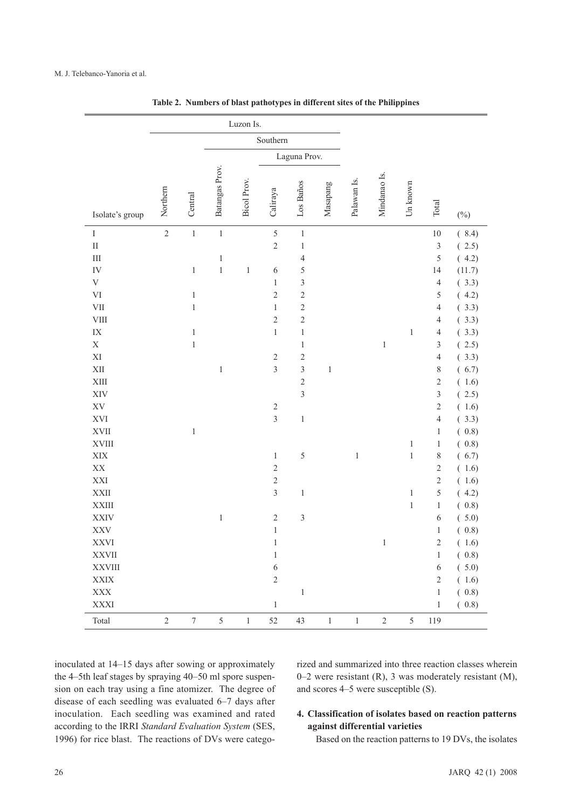|                        |                |                  |                | Luzon Is.   |                         |                |             |             |              |              |                |                  |
|------------------------|----------------|------------------|----------------|-------------|-------------------------|----------------|-------------|-------------|--------------|--------------|----------------|------------------|
|                        |                |                  |                |             | Southern                |                |             |             |              |              |                |                  |
|                        |                |                  |                |             |                         | Laguna Prov.   |             |             |              |              |                |                  |
|                        |                |                  |                |             |                         |                |             |             |              |              |                |                  |
| Isolate's group        | Northern       | Central          | Batangas Prov. | Bicol Prov. | Caliraya                | Los Baños      | Masapang    | Palawan Is. | Mindanao Is. | Un known     | Total          | $(\%)$           |
| $\rm I$                | $\overline{c}$ | $\,1\,$          | $\,1\,$        |             | 5                       | $\,1\,$        |             |             |              |              | $10\,$         | (8.4)            |
| $\rm II$               |                |                  |                |             | $\overline{c}$          | $\,1\,$        |             |             |              |              | $\overline{3}$ | (2.5)            |
| $\rm III$              |                |                  | $\,1\,$        |             |                         | $\overline{4}$ |             |             |              |              | 5              | (4.2)            |
| ${\rm IV}$             |                | $\,1$            | $\,1\,$        | $\,1$       | 6                       | 5              |             |             |              |              | 14             | (11.7)           |
| $\mathbf V$            |                |                  |                |             | $\mathbf{1}$            | $\mathfrak{Z}$ |             |             |              |              | $\overline{4}$ | (3.3)            |
| $\mbox{VI}$            |                | $\mathbf{1}$     |                |             | $\sqrt{2}$              | $\overline{c}$ |             |             |              |              | $\mathfrak s$  | (4.2)            |
| ${\rm VII}$            |                | $\,1$            |                |             | $\mathbf{1}$            | $\overline{c}$ |             |             |              |              | $\overline{4}$ | (3.3)            |
| ${\rm VIII}$           |                |                  |                |             | $\sqrt{2}$              | $\overline{c}$ |             |             |              |              | $\overline{4}$ | (3.3)            |
| $\mathbf{I}\mathbf{X}$ |                | $\,1\,$          |                |             | $\,1$                   | $\,1\,$        |             |             |              | $\mathbf{1}$ | $\overline{4}$ | (3.3)            |
| $\mathbf X$            |                | $\,1\,$          |                |             |                         | $\,1\,$        |             |             | $\,1$        |              | $\mathfrak z$  | (2.5)            |
| $\mathbf{X}\mathbf{I}$ |                |                  |                |             | $\sqrt{2}$              | $\overline{c}$ |             |             |              |              | $\sqrt{4}$     | (3.3)            |
| $\mbox{XII}$           |                |                  | $\mathbf{1}$   |             | $\overline{3}$          | $\mathfrak{Z}$ | $\mathbf 1$ |             |              |              | $\,$ $\,$      | (6.7)            |
| $\mbox{XIII}$          |                |                  |                |             |                         | $\overline{c}$ |             |             |              |              | $\sqrt{2}$     | (1.6)            |
| XIV                    |                |                  |                |             |                         | $\mathfrak{Z}$ |             |             |              |              | 3              | 2.5)<br>$\left($ |
| $\mathbf{X}\mathbf{V}$ |                |                  |                |             | $\sqrt{2}$              |                |             |             |              |              | $\overline{2}$ | (1.6)            |
| XVI                    |                |                  |                |             | $\overline{\mathbf{3}}$ | $\,1\,$        |             |             |              |              | $\overline{4}$ | (3.3)            |
| XVII                   |                | $\,1\,$          |                |             |                         |                |             |             |              |              | $\mathbf{1}$   | (0.8)            |
| XVIII                  |                |                  |                |             |                         |                |             |             |              | $\,1\,$      | $\mathbf{1}$   | (0.8)            |
| $\bold{XIX}$           |                |                  |                |             | $\mathbf{1}$            | 5              |             | $\,1\,$     |              | $\,1\,$      | $\,$ $\,$      | (6.7)            |
| $\mathbf{X}\mathbf{X}$ |                |                  |                |             | $\sqrt{2}$              |                |             |             |              |              | $\sqrt{2}$     | (1.6)            |
| XXI                    |                |                  |                |             | $\sqrt{2}$              |                |             |             |              |              | $\overline{c}$ | (1.6)            |
| <b>XXII</b>            |                |                  |                |             | $\overline{3}$          | $\,1\,$        |             |             |              | $\mathbf{1}$ | 5              | (4.2)            |
| <b>XXIII</b>           |                |                  |                |             |                         |                |             |             |              | $\,1\,$      | $\,1\,$        | (0.8)            |
| <b>XXIV</b>            |                |                  | $\,1\,$        |             | $\sqrt{2}$              | $\mathfrak z$  |             |             |              |              | 6              | (5.0)            |
| $\mathbf{XXV}$         |                |                  |                |             | $\,1$                   |                |             |             |              |              | $\mathbf{1}$   | (0.8)            |
| <b>XXVI</b>            |                |                  |                |             | $\,1\,$                 |                |             |             | $\mathbf{1}$ |              | $\overline{c}$ | (1.6)            |
| <b>XXVII</b>           |                |                  |                |             | $\,1\,$                 |                |             |             |              |              | $\mathbf{1}$   | (0.8)            |
| <b>XXVIII</b>          |                |                  |                |             | $\boldsymbol{6}$        |                |             |             |              |              | $\sqrt{6}$     | (5.0)            |
| $\bold{XXIX}$          |                |                  |                |             | $\sqrt{2}$              |                |             |             |              |              | $\sqrt{2}$     | (1.6)            |
| $\mathbf{XXX}$         |                |                  |                |             |                         | $\,1\,$        |             |             |              |              | $\,1\,$        | (0.8)            |
| <b>XXXI</b>            |                |                  |                |             | $\,1\,$                 |                |             |             |              |              | $\,1$          | (0.8)            |
| Total                  | $\sqrt{2}$     | $\boldsymbol{7}$ | $\sqrt{5}$     | $\,1$       | 52                      | $43\,$         | $\,1\,$     | $\,1$       | $\sqrt{2}$   | 5            | 119            |                  |

**Table 2. Numbers of blast pathotypes in different sites of the Philippines**

inoculated at 14–15 days after sowing or approximately the 4–5th leaf stages by spraying 40–50 ml spore suspension on each tray using a fine atomizer. The degree of disease of each seedling was evaluated 6–7 days after inoculation. Each seedling was examined and rated according to the IRRI *Standard Evaluation System* (SES, 1996) for rice blast. The reactions of DVs were categorized and summarized into three reaction classes wherein 0–2 were resistant (R), 3 was moderately resistant (M), and scores 4–5 were susceptible (S).

## **4. Classification of isolates based on reaction patterns against differential varieties**

Based on the reaction patterns to 19 DVs, the isolates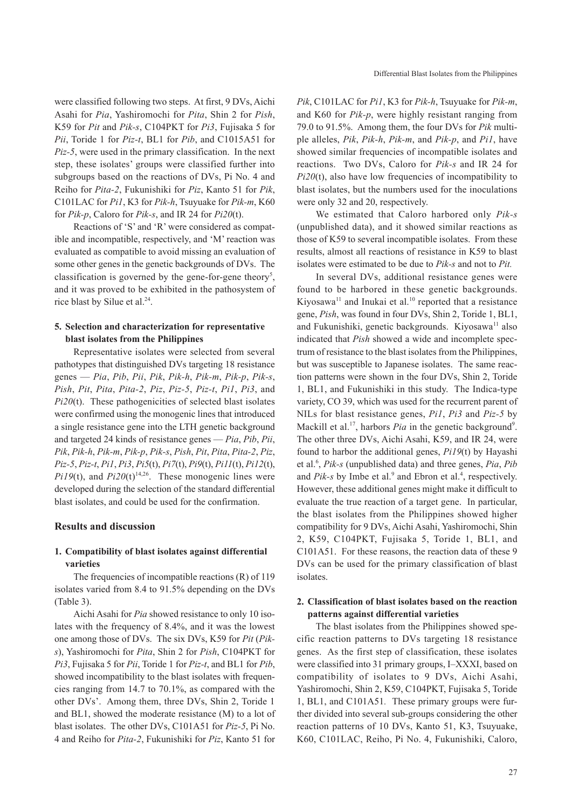were classified following two steps. At first, 9 DVs, Aichi Asahi for *Pia*, Yashiromochi for *Pita*, Shin 2 for *Pish*, K59 for *Pit* and *Pik-s*, C104PKT for *Pi3*, Fujisaka 5 for *Pii*, Toride 1 for *Piz-t*, BL1 for *Pib*, and C1015A51 for *Piz-5*, were used in the primary classification. In the next step, these isolates' groups were classified further into subgroups based on the reactions of DVs, Pi No. 4 and Reiho for *Pita-2*, Fukunishiki for *Piz*, Kanto 51 for *Pik*, C101LAC for *Pi1*, K3 for *Pik-h*, Tsuyuake for *Pik-m*, K60 for *Pik-p*, Caloro for *Pik-s*, and IR 24 for *Pi20*(t).

Reactions of 'S' and 'R' were considered as compatible and incompatible, respectively, and 'M' reaction was evaluated as compatible to avoid missing an evaluation of some other genes in the genetic backgrounds of DVs. The classification is governed by the gene-for-gene theory<sup>5</sup>, and it was proved to be exhibited in the pathosystem of rice blast by Silue et al.<sup>24</sup>.

### **5. Selection and characterization for representative blast isolates from the Philippines**

Representative isolates were selected from several pathotypes that distinguished DVs targeting 18 resistance genes — *Pia*, *Pib*, *Pii*, *Pik*, *Pik-h*, *Pik-m*, *Pik-p*, *Pik-s*, *Pish*, *Pit*, *Pita*, *Pita-2*, *Piz*, *Piz-5*, *Piz-t*, *Pi1*, *Pi3*, and *Pi20*(t). These pathogenicities of selected blast isolates were confirmed using the monogenic lines that introduced a single resistance gene into the LTH genetic background and targeted 24 kinds of resistance genes — *Pia*, *Pib*, *Pii*, *Pik*, *Pik-h*, *Pik-m*, *Pik-p*, *Pik-s*, *Pish*, *Pit*, *Pita*, *Pita-2*, *Piz*, *Piz-5*, *Piz-t*, *Pi1*, *Pi3*, *Pi5*(t), *Pi7*(t), *Pi9*(t), *Pi11*(t), *Pi12*(t), *Pi19*(t), and *Pi20*(t)<sup>14,26</sup>. These monogenic lines were developed during the selection of the standard differential blast isolates, and could be used for the confirmation.

### **Results and discussion**

## **1. Compatibility of blast isolates against differential varieties**

The frequencies of incompatible reactions (R) of 119 isolates varied from 8.4 to 91.5% depending on the DVs (Table 3).

Aichi Asahi for *Pia* showed resistance to only 10 isolates with the frequency of 8.4%, and it was the lowest one among those of DVs. The six DVs, K59 for *Pit* (*Piks*), Yashiromochi for *Pita*, Shin 2 for *Pish*, C104PKT for *Pi3*, Fujisaka 5 for *Pii*, Toride 1 for *Piz-t*, and BL1 for *Pib*, showed incompatibility to the blast isolates with frequencies ranging from 14.7 to 70.1%, as compared with the other DVs'. Among them, three DVs, Shin 2, Toride 1 and BL1, showed the moderate resistance (M) to a lot of blast isolates. The other DVs, C101A51 for *Piz-5*, Pi No. 4 and Reiho for *Pita-2*, Fukunishiki for *Piz*, Kanto 51 for

*Pik*, C101LAC for *Pi1*, K3 for *Pik-h*, Tsuyuake for *Pik-m*, and K60 for *Pik-p*, were highly resistant ranging from 79.0 to 91.5%. Among them, the four DVs for *Pik* multiple alleles, *Pik*, *Pik-h*, *Pik-m*, and *Pik-p*, and *Pi1*, have showed similar frequencies of incompatible isolates and reactions. Two DVs, Caloro for *Pik-s* and IR 24 for *Pi20*(t), also have low frequencies of incompatibility to blast isolates, but the numbers used for the inoculations were only 32 and 20, respectively.

We estimated that Caloro harbored only *Pik-s* (unpublished data), and it showed similar reactions as those of K59 to several incompatible isolates. From these results, almost all reactions of resistance in K59 to blast isolates were estimated to be due to *Pik-s* and not to *Pit.*

In several DVs, additional resistance genes were found to be harbored in these genetic backgrounds. Kiyosawa $^{11}$  and Inukai et al.<sup>10</sup> reported that a resistance gene, *Pish*, was found in four DVs, Shin 2, Toride 1, BL1, and Fukunishiki, genetic backgrounds. Kiyosawa $^{11}$  also indicated that *Pish* showed a wide and incomplete spectrum of resistance to the blast isolates from the Philippines, but was susceptible to Japanese isolates. The same reaction patterns were shown in the four DVs, Shin 2, Toride 1, BL1, and Fukunishiki in this study. The Indica-type variety, CO 39, which was used for the recurrent parent of NILs for blast resistance genes, *Pi1*, *Pi3* and *Piz-5* by Mackill et al.<sup>17</sup>, harbors *Pia* in the genetic background<sup>9</sup>. The other three DVs, Aichi Asahi, K59, and IR 24, were found to harbor the additional genes, *Pi19*(t) by Hayashi et al.6 , *Pik-s* (unpublished data) and three genes, *Pia*, *Pib* and *Pik-s* by Imbe et al.<sup>9</sup> and Ebron et al.<sup>4</sup>, respectively. However, these additional genes might make it difficult to evaluate the true reaction of a target gene. In particular, the blast isolates from the Philippines showed higher compatibility for 9 DVs, Aichi Asahi, Yashiromochi, Shin 2, K59, C104PKT, Fujisaka 5, Toride 1, BL1, and C101A51. For these reasons, the reaction data of these 9 DVs can be used for the primary classification of blast isolates.

### **2. Classification of blast isolates based on the reaction patterns against differential varieties**

The blast isolates from the Philippines showed specific reaction patterns to DVs targeting 18 resistance genes. As the first step of classification, these isolates were classified into 31 primary groups, I–XXXI, based on compatibility of isolates to 9 DVs, Aichi Asahi, Yashiromochi, Shin 2, K59, C104PKT, Fujisaka 5, Toride 1, BL1, and C101A51*.* These primary groups were further divided into several sub-groups considering the other reaction patterns of 10 DVs, Kanto 51, K3, Tsuyuake, K60, C101LAC, Reiho, Pi No. 4, Fukunishiki, Caloro,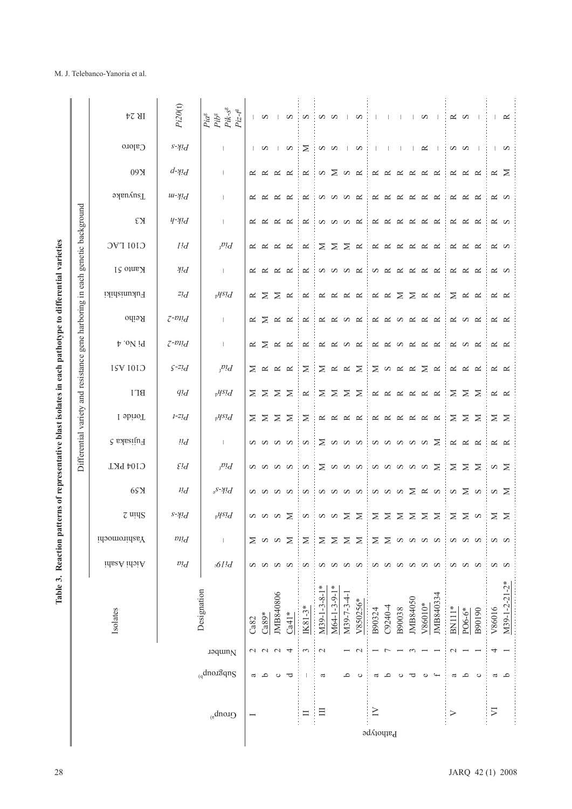|                                                                                                         |                                                            | IR 24           | Pi20(t)                         | $Pik\text{-}s^{\text{g}}$<br>$Piz-t^g$<br>$Pi a^{\rm s}$ $Pi b^{\rm s}$ |              | S                 | $\mathbf{1}$        | $\infty$       | $\infty$   | S S            |                                                        |              | $\infty$     |                                       | $\mathbf{I}$   | $\Box$    | $\mathbf{L}$ | S                  | $\overline{\phantom{0}}$ |               | $\approx$ $\infty$   | $\overline{\phantom{a}}$ | $\mathbf{L}$ | $\approx$           |
|---------------------------------------------------------------------------------------------------------|------------------------------------------------------------|-----------------|---------------------------------|-------------------------------------------------------------------------|--------------|-------------------|---------------------|----------------|------------|----------------|--------------------------------------------------------|--------------|--------------|---------------------------------------|----------------|-----------|--------------|--------------------|--------------------------|---------------|----------------------|--------------------------|--------------|---------------------|
|                                                                                                         |                                                            | $C2$ loro       | $s$ - $\gamma$ <sup>1</sup> $d$ | J.                                                                      | $\mathbf{L}$ | S                 | $\mathbf{I}$        | S              | $\geq$     | S S            |                                                        | $\mathbf{I}$ | S            | $\mathbf{I}$                          | $\blacksquare$ | $\Box$    | $\Box$       | $\approx$          | $\mathbf{I}$             | S S           |                      | $\overline{\phantom{0}}$ |              | $\sim$              |
|                                                                                                         |                                                            | 09X             | $d\neg$ <sup>1</sup>            | J.                                                                      | $\approx$    | $\approx$         | $\approx$           | $\approx$      | $\approx$  | S              | $\geq$                                                 | ທ⊔≍          |              | $\approx$                             | $\approx$      | $\approx$ | $\approx$    | $\approx$          | $\approx$                | $\approx$     | $\approx$            | $\approx$                |              | $\approx$ $\geq$    |
|                                                                                                         |                                                            | Tsuyuake        | $u - \gamma \chi d$             | J.                                                                      | $\approx$    | $\approx$         | $\approx$           | $\approx$      | $\approx$  | S              | S S                                                    |              | $\approx$    | $\approx$                             | ≃              | $\propto$ | $\approx$    | $\simeq$           | $\approx$                | ≃             | $\approx$            | $\approx$                |              | R N                 |
|                                                                                                         |                                                            | εя              | $y \rightarrow u d$             | $\mathbf{I}$                                                            | $\approx$    | $\approx$         | $\approx$           | $\approx$      | $\simeq$   | S              | <b>SSS</b>                                             |              |              | ≃                                     | $\approx$      | $\approx$ | $\approx$    | $\approx$          | $\approx$                | $\approx$     | $\approx$            | $\approx$                |              | R N                 |
|                                                                                                         | genetic background                                         | C101 LAC        | Ild                             | $P^{\prime}d$                                                           | $\approx$    | $\approx$         | $\approx$           | $\approx$      | $\approx$  | Σ              | Σ                                                      | $\geq$       | $\approx$    | $\approx$                             | $\approx$      | ≃         | $\approx$    | $\simeq$           | $\approx$                | $\approx$     | $\approx$            | $\approx$                |              | R <sub>o</sub>      |
|                                                                                                         |                                                            | Kanto 51        | $\mathcal{H}$ !d                | $\mathbf{I}$                                                            | $\approx$    | $\approx$         | $\approx$           | $\approx$      | $\approx$  |                | <b>DOOO</b>                                            |              |              | S                                     | $\approx$      | $\approx$ | $\approx$    | $\approx$          | $\approx$                | $\approx$     | $\approx$            | $\approx$                |              | $\approx$ $\infty$  |
|                                                                                                         |                                                            | Fukunshiki      | $z_1$                           | $p$ <sup><math>y</math><i>S</i>1<math>d</math></sup>                    | $\approx$    | ⋝                 | Σ                   | $\approx$      | $\approx$  | ≃              | $\approx$                                              | $\approx$    | $\approx$    | $\approx$                             | $\approx$      | Σ         | Σ            | $\approx$          | $\approx$                | $\geq$        | $\approx$            | $\approx$                |              | $\propto$ $\propto$ |
|                                                                                                         |                                                            | Reiho           | $z$ - $\nu$ nd                  | $\mathbf{I}$                                                            | $\approx$    | $\geq$            | $\approx$           | $\approx$      | $\approx$  | $\approx$      | $\approx$                                              | $\infty$     | $\approx$    | $\approx$                             | $\approx$      | S         | $\approx$    | $\approx$          | $\approx$                | $\approx$     | S                    | $\approx$                |              | $\propto$ $\propto$ |
|                                                                                                         |                                                            | $p_{.0}N_{.0}$  | $z$ - $\frac{pi}{d}$            | $\mathbf{I}$                                                            | $\approx$    | $\geq$            | $\approx$           | $\approx$      | ≃          | ≃              | $\approx$                                              | $\infty$     | $\approx$    | $\approx$                             | $\approx$      | S         | $\approx$    | $\approx$          | $\approx$                | $\approx$     | $\infty$             | $\approx$                |              | $\approx$ $\approx$ |
|                                                                                                         | Differential variety and resistance gene harboring in each | C101 A51        | $S$ -Zl $d$                     | $P^{\prime}d$                                                           | ⋝            | $\approx$         | $\approx$ $\approx$ |                | $\geq$     | $\geq$         | $\approx$ $\approx$                                    |              | $\geq$       | $\geq$                                | $\infty$       | $\simeq$  | $\simeq$     | $\geq$             | $\simeq$                 | $\approx$     | $\approx$            | $\approx$                |              | $\approx$ $\approx$ |
|                                                                                                         |                                                            | <b>BL1</b>      | $q_{d}$                         | $p$ <sup><math>y</math><i>S</i>1</sup> $d$                              | $\geq$       | $\geq$            | $\geq$              | $\geq$         | $\simeq$   | Σ              | $\geq$                                                 | $\geq$       | $\geq$       | $\approx$                             | $\approx$      | $\approx$ | $\approx$    | $\approx$          | $\approx$                | $\geq$        | $\geq$               | $\geq$                   |              | $\approx$ $\approx$ |
|                                                                                                         |                                                            | I obrioT        | $1 - 2!d$                       | $p$ <sup><math>y</math><i>S</i>1</sup> $d$                              |              | $\Sigma$ $\Sigma$ | $\geq$              | $\geq$         | $\geq$     | $\approx$      | $\approx$                                              | $\simeq$     | $\approx$    | ≃                                     | $\approx$      | $\approx$ | $\approx$    | $\approx$          | $\approx$                | $\geq$        |                      | $\Sigma$ $\Sigma$        |              | $\geq$ $\geq$       |
|                                                                                                         |                                                            | Pujisaka 5      | $\iota\iota d$                  | $\mathbf{I}$                                                            |              | anna              |                     |                | $\infty$   |                | $\Sigma$ a a a                                         |              |              |                                       | <b>a</b> a a   |           | $\mathbf{S}$ | S                  | ⊠                        | $\approx$     | $\approx$            | $\approx$                |              | $\approx$ $\approx$ |
|                                                                                                         |                                                            | C104 PKT        | $\mathcal{E}$ !d                | $P^{\prime}d$                                                           |              | a a a a           |                     |                | S          | $\geq$         | <b>a</b> a a                                           |              |              |                                       |                |           | aaaaa        |                    | _≍                       | $\geq$        | $\geq$               | $\geq$                   |              | $\alpha$ $\geq$     |
|                                                                                                         |                                                            | 6S <sub>N</sub> | $\mu_d$                         | $s^S$ - $\gamma$ <sup>1</sup> $d$                                       |              | S S               | S S                 |                | S          |                | a a a a                                                |              |              |                                       | a a a          |           | $\geq$       | $\approx$ $\infty$ |                          |               | $\alpha \geq \alpha$ |                          |              | $\alpha$ $\geq$     |
|                                                                                                         |                                                            | z uius          | $s$ - $\gamma$ <sup>1</sup> $d$ | $v^{qsl}d$                                                              |              | <b>NNNN</b>       |                     |                | $\infty$   | ÷              | $\begin{array}{c} \circ \\ \circ \\ \circ \end{array}$ |              |              | $\geq$                                | $\geq$         | $\geq$    | $\geq$       | $\geq$             | $\geq$                   | $\geq$        |                      | $\geq$ $\infty$          |              | $\Sigma$ $\Sigma$   |
|                                                                                                         |                                                            | Yashiromochi    | $\emph{d}$                      | $\overline{\phantom{a}}$                                                |              | $\geq$ $\infty$   |                     | $\geq$         | Σ          | $\geq$         | $\geq$                                                 | $\geq$       | $\geq$       | $\geq$                                | $\geq$         | $\infty$  | $\infty$     | $\infty$           | S                        |               | S a                  | S                        |              | S N                 |
|                                                                                                         |                                                            | hichi Asahi     | $\emph{pl}$                     | ${\mathcal{A}}^{Id}$                                                    |              | S a               | S S                 |                | S          | S              | S S                                                    |              | S            | S a                                   |                | S         | $\mathbf{S}$ | S S                |                          |               | <b>a</b> a a         |                          |              | S S                 |
| Table 3. Reaction patterns of representative blast isolates in each pathotype to differential varieties |                                                            | Isolates        |                                 | Designation                                                             | Ca82         | $Ca89*$           | JMB840806           | $Ca41*$        | $I K81-3*$ | $M39-1-3-8-1*$ | M64-1-3-9-1*                                           | M39-7-3-4-1  | V850256*     | B90324                                | C9240-4        | B90038    | JMB84050     | V86010*            | JMB840334                | $BN11*$       | PO6-6*               | B90190                   | V86016       | M39-1-2-21-2*       |
|                                                                                                         |                                                            |                 |                                 | Jaquin <sub>N</sub>                                                     |              | UUU               |                     | $\overline{4}$ | 3          | $\mathbf{C}$   |                                                        |              | $\mathbf{C}$ |                                       |                |           |              |                    |                          | $\mathcal{L}$ |                      |                          | 4            |                     |
|                                                                                                         |                                                            |                 |                                 | $q$ dno.13qng                                                           | ß            | م                 | $\circ$             | ರ              |            | ß              |                                                        | ٩            | $\circ$      | a                                     | ٩              | ပ         | ᅙ            | $\circ$            |                          | ß             | م                    | $\circ$                  |              | $a$ a               |
|                                                                                                         |                                                            |                 |                                 | $Quonb_{y}$                                                             |              |                   |                     |                | $\Box$     | 日              |                                                        |              |              | $\geq$<br>$\operatorname{b}$ atportpe |                |           |              |                    |                          | $\geq$        |                      |                          | $\sum$       |                     |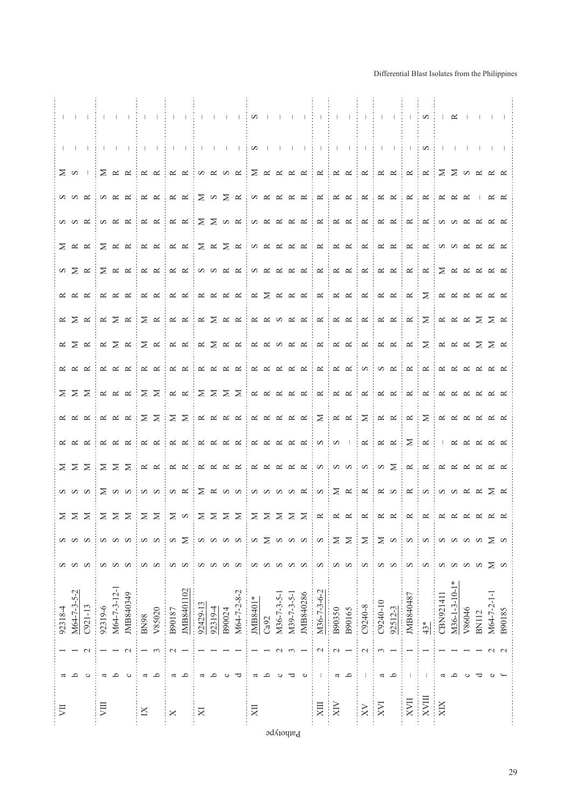|         |                               |                                |         |                                                         |                               |               |                                                                    |                       |                                                                                      |          |                                                                                                                                                                                 |        |                       |                         |      |             |             |                |                  |             |        |                               |          |                                                                                              |                          | in in helm in her helm in her helm in helm in her helm in her her her helm in her her her her her her her her                                                              |           |                           |        |              |             |
|---------|-------------------------------|--------------------------------|---------|---------------------------------------------------------|-------------------------------|---------------|--------------------------------------------------------------------|-----------------------|--------------------------------------------------------------------------------------|----------|---------------------------------------------------------------------------------------------------------------------------------------------------------------------------------|--------|-----------------------|-------------------------|------|-------------|-------------|----------------|------------------|-------------|--------|-------------------------------|----------|----------------------------------------------------------------------------------------------|--------------------------|----------------------------------------------------------------------------------------------------------------------------------------------------------------------------|-----------|---------------------------|--------|--------------|-------------|
|         | ⊠ ⊠                           |                                |         |                                                         |                               |               |                                                                    |                       |                                                                                      |          |                                                                                                                                                                                 |        |                       |                         |      |             |             |                |                  |             |        |                               |          |                                                                                              |                          | $\mathbf{u}$ in the set of $\mathbf{x}$ is a set of $\mathbf{x}$ in the set of $\mathbf{x}$ in the set of $\mathbf{x}$ in the set of $\mathbf{x}$ is a set of $\mathbf{x}$ |           |                           |        |              |             |
|         | <b>S</b> S Q                  |                                |         | $\begin{array}{c} \mathbb{Z} \\ \mathbb{Z} \end{array}$ |                               |               | $\alpha \approx 100 \approx 100$                                   |                       |                                                                                      |          |                                                                                                                                                                                 |        |                       |                         |      |             |             |                | <b>SARRERR</b>   |             |        | $\mathbf{K}$                  |          |                                                                                              |                          | <b>KKKKKKKKKK</b>                                                                                                                                                          |           |                           |        |              |             |
|         | $M \times M$                  |                                |         | $M \times K$                                            |                               |               | $\propto~\propto$                                                  |                       | $\alpha$ $\approx$ $\alpha$                                                          |          | $\Sigma$ $\geq$ $\sim$ $\simeq$                                                                                                                                                 |        |                       |                         |      |             |             |                | <b>SARRER RE</b> |             |        | $\sim$ .                      |          |                                                                                              |                          | <b>K K K K M M K K K K</b>                                                                                                                                                 |           |                           |        |              |             |
|         | $\sum$ $\approx$ $\approx$    |                                |         | $\Sigma \; \approx \; \approx$                          |                               |               | $\mathbb{R} \times \mathbb{R} \times \mathbb{R}$                   |                       |                                                                                      |          | $\Sigma \; \simeq \; \Sigma \; \simeq$                                                                                                                                          |        |                       |                         |      |             |             |                | <b>SARRERR</b>   |             |        | $\simeq$ :                    |          |                                                                                              |                          | <b>A A A A A A A A A</b>                                                                                                                                                   |           |                           |        |              |             |
|         |                               | $\alpha \geq \alpha$           |         |                                                         | $\geq~\simeq~\simeq$          |               |                                                                    |                       |                                                                                      |          |                                                                                                                                                                                 |        |                       |                         |      |             |             |                |                  |             |        |                               |          |                                                                                              |                          |                                                                                                                                                                            |           |                           |        |              |             |
|         | $\propto$ $\propto$ $\propto$ |                                |         | $\approx$ $\approx$ $\approx$                           |                               |               | <b>EXERCIAL</b>                                                    |                       |                                                                                      |          |                                                                                                                                                                                 |        |                       |                         |      |             |             |                |                  |             |        |                               |          |                                                                                              |                          | EXXXXXXXXXXXXXXXXXXX                                                                                                                                                       |           |                           |        |              |             |
|         |                               | $\mathbb{R} \times \mathbb{R}$ |         |                                                         |                               |               |                                                                    |                       |                                                                                      |          |                                                                                                                                                                                 |        |                       |                         |      |             |             |                |                  |             |        |                               |          |                                                                                              |                          |                                                                                                                                                                            |           |                           |        |              |             |
|         |                               | $\mathbb{R} \times \mathbb{R}$ |         |                                                         | $\approx$ $\,\Xi$ $\,\approx$ |               | $\mathbf{X} \times \mathbf{X}$                                     |                       |                                                                                      |          | $\approx$ $\geq$ $\approx$ $\approx$                                                                                                                                            |        |                       |                         |      |             |             |                |                  |             |        |                               |          |                                                                                              |                          | <b>EXAMARE AREA AND AND A REAGAN</b>                                                                                                                                       |           |                           |        |              |             |
|         |                               | $R \times R$                   |         |                                                         | $\approx$ $\approx$ $\approx$ |               | <b>EXERCIAL</b>                                                    |                       |                                                                                      |          |                                                                                                                                                                                 |        |                       |                         |      |             |             |                |                  |             |        |                               |          |                                                                                              |                          | in n n n n in in n in n n in in in n n n n n                                                                                                                               |           |                           |        |              |             |
|         | $\Sigma$ $\Sigma$ $\Sigma$    |                                |         |                                                         | $\approx$ $\approx$ $\approx$ | $\geq$ $\geq$ |                                                                    |                       | $\mathbb{E} \times \mathbb{E} \times \mathbb{E} \times \mathbb{E} \times \mathbb{E}$ |          |                                                                                                                                                                                 |        |                       |                         |      |             |             |                | K K K K K K K K  |             |        | $\approx$ :                   |          |                                                                                              |                          | <b>K K K K K K K K K K</b>                                                                                                                                                 |           |                           |        |              |             |
|         |                               | $\alpha \alpha \alpha$         |         |                                                         | $\approx$ $\approx$ $\approx$ | $\geq$ $\geq$ |                                                                    |                       | $\exists \Sigma$                                                                     |          | $\mathbb{\begin{array}{c} \mathbb{\mathbf{K}} \end{array}} \mathbb{\begin{array}{c} \mathbb{\mathbf{K}} \end{array}} \mathbb{\begin{array}{c} \mathbb{\mathbf{K}} \end{array}}$ |        |                       |                         |      |             |             |                |                  |             |        |                               |          |                                                                                              |                          | <b>K K   K   Z   K K K K K K</b>                                                                                                                                           |           |                           |        |              |             |
|         | $\propto$ $\propto$ $\propto$ |                                |         | $\approx$ $\approx$ $\approx$                           |                               |               | $\mathbb{R} \times \mathbb{R} \times \mathbb{R}$                   |                       |                                                                                      |          | $\mathbb{\alpha} \; \mathbb{\alpha} \; \mathbb{\alpha} \; \mathbb{\alpha}$                                                                                                      |        |                       |                         |      |             |             | <b>KKKKK</b> S |                  | $\sim$ 0    |        |                               |          | $\begin{array}{c} \mathbb{R} \quad \mathbb{R} \quad \mathbb{R} \quad \mathbb{R} \end{array}$ |                          | $\alpha$                                                                                                                                                                   |           | $K \times K$ $K \times K$ |        |              |             |
|         | $\Sigma$ $\Sigma$ $\Sigma$    |                                |         | $\Sigma$ $\Sigma$ $\Sigma$                              |                               |               | $\mathbb{R} \times \mathbb{R} \times \mathbb{R} \times \mathbb{R}$ |                       |                                                                                      |          |                                                                                                                                                                                 |        |                       |                         |      |             |             |                |                  |             |        |                               |          |                                                                                              |                          |                                                                                                                                                                            |           |                           |        |              |             |
|         |                               |                                |         |                                                         |                               |               |                                                                    |                       |                                                                                      |          |                                                                                                                                                                                 |        |                       |                         |      |             |             |                |                  |             |        |                               |          |                                                                                              |                          | $\alpha \approx 0$ in $\alpha$ in $\alpha$ in $\alpha \approx 0$ in $\alpha$                                                                                               |           |                           |        |              |             |
|         |                               |                                |         |                                                         |                               |               |                                                                    |                       |                                                                                      |          |                                                                                                                                                                                 |        |                       |                         |      |             |             |                |                  |             |        |                               |          |                                                                                              |                          | $\mathbb{R} \times \mathbb{R} \times \mathbb{R}$                                                                                                                           |           | <b>K K K K K</b>          |        |              |             |
|         |                               |                                |         |                                                         |                               |               |                                                                    |                       | ⋝                                                                                    |          |                                                                                                                                                                                 | S      | S                     | S                       | ⋝    |             | S           | S              | S                | Σ           | $\geq$ | Σ                             | Σ        | S                                                                                            | S                        | S                                                                                                                                                                          | S         |                           |        | S            | Σ           |
|         | ∽                             | ∽                              |         |                                                         | S                             |               | ∽                                                                  |                       |                                                                                      |          |                                                                                                                                                                                 |        | S                     | S                       |      |             | S           | S              | S                | S S         |        | S                             | S        | S                                                                                            | S                        | S                                                                                                                                                                          | S         |                           | S      | S            | $\geq$      |
| 92318-4 | M64-7-3-5-2                   | $C921-13$                      | 92319-6 | M64-7-3-12-1                                            | JMB840349                     | <b>BN98</b>   | V85020                                                             | B90187                | JMB8401102                                                                           | 92429-13 | 92319-4                                                                                                                                                                         | B90024 | $M64 - 7 - 2 - 8 - 2$ | JMB8401*                | Ca92 | M36-7-3-5-1 | M39-7-3-5-1 | JMB840286      | M36-7-3-6-2      | B90350      | B90165 | $C9240 - 8$                   | C9240-10 | 92512-3                                                                                      | JMB840487                | $43*$                                                                                                                                                                      | CBN921411 | $M36-1-3-10-1*$           | V86046 | <b>BN112</b> | M64-7-2-1-1 |
|         |                               | $\mathbf{\sim}$                |         |                                                         | $\mathbf{\sim}$               |               |                                                                    | $\scriptstyle\sim$    |                                                                                      |          |                                                                                                                                                                                 |        |                       |                         |      |             |             |                | $\mathbf 1$      | $\mathbf 1$ |        | $\mathcal{L}$                 | 3        |                                                                                              |                          |                                                                                                                                                                            |           |                           |        |              | $\sim$      |
|         |                               |                                |         |                                                         |                               |               |                                                                    |                       |                                                                                      |          |                                                                                                                                                                                 |        |                       |                         |      |             |             |                |                  | a           |        |                               | ß        | م                                                                                            |                          |                                                                                                                                                                            |           |                           |        |              |             |
| 買       |                               |                                | 貝       |                                                         |                               | $\mathbb{X}$  |                                                                    | $\boldsymbol{\times}$ |                                                                                      | X        |                                                                                                                                                                                 |        |                       | $\overline{\mathbb{R}}$ |      |             |             |                | XIII             | XIX         |        | $\overline{\text{X}}\text{V}$ | XVI      |                                                                                              | $\overline{\text{XVII}}$ | $\mathop{\rm NVM}\nolimits$                                                                                                                                                | XIX       |                           |        |              |             |

## Differential Blast Isolates from the Philippines

 $\operatorname{\mathsf{polylog}}$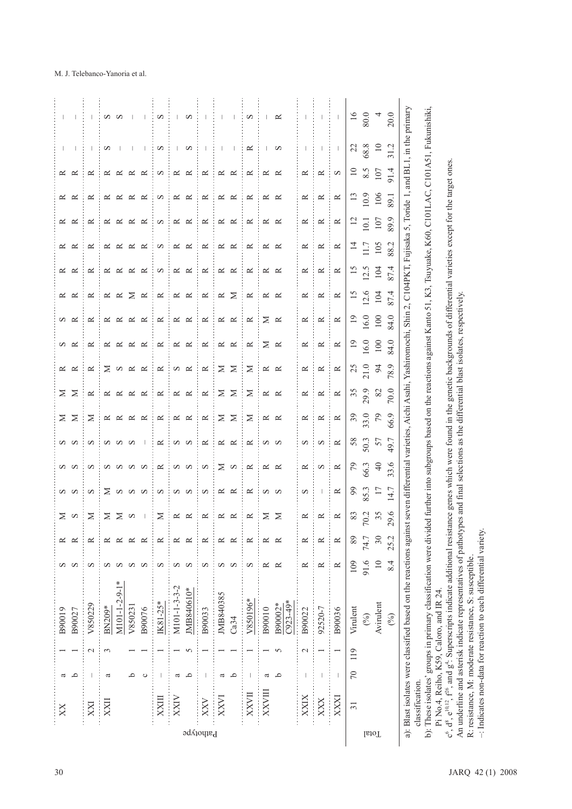|           | XX              | ٩<br>a                                                                                                                                                                                                                                                                                                                                                                           |                 | B90019<br>B90027                  | S                      | ≃              | $\geq$<br>$\mathbf S$                        | $\infty$<br>S            | $\infty$<br>S                                 | S<br>S                    | $\geq$<br>$\geq$              | $\geq$<br>$\geq$      | $\approx$<br>$\simeq$ | $\approx$<br>S                | $\infty$ $\approx$            | $\approx$                                                                            | $\approx$<br>$\approx$        | $\sim$                           | $\approx$<br>$\approx$             | $\approx$             | $\approx$<br>$\approx$ |                                                                   |                          |
|-----------|-----------------|----------------------------------------------------------------------------------------------------------------------------------------------------------------------------------------------------------------------------------------------------------------------------------------------------------------------------------------------------------------------------------|-----------------|-----------------------------------|------------------------|----------------|----------------------------------------------|--------------------------|-----------------------------------------------|---------------------------|-------------------------------|-----------------------|-----------------------|-------------------------------|-------------------------------|--------------------------------------------------------------------------------------|-------------------------------|----------------------------------|------------------------------------|-----------------------|------------------------|-------------------------------------------------------------------|--------------------------|
| XXI       |                 | $\overline{\phantom{a}}$                                                                                                                                                                                                                                                                                                                                                         | $\mathbf{\sim}$ | V850229                           | S                      | ≃              | $\geq$                                       | $\infty$                 | $\infty$                                      | $\infty$                  | $\geq$                        | $\approx$             | $\approx$             | $\approx$                     | $\simeq$                      | $\simeq$                                                                             | $\simeq$                      | $\simeq$                         | $\approx$                          | $\approx$             | ≃                      |                                                                   |                          |
|           | XXII            | ß                                                                                                                                                                                                                                                                                                                                                                                | 3               | $M101 - 1 - 2 - 9 - 1*$<br>BN209* | S<br>S                 |                | $\geq$                                       | $\Sigma$ a a a           | $\mathbf{a} \mathbf{a} \mathbf{a} \mathbf{a}$ | <b>a</b> a a              | $\propto$ $\propto$ $\propto$ | $\approx$<br>$\simeq$ | $\Sigma$ o $\approx$  | $\propto$ $\propto$ $\propto$ | $\propto$ $\propto$ $\propto$ |                                                                                      | $\propto$ $\propto$ $\propto$ | $\approx$<br>$\approx$ $\approx$ | $\approx$<br>$\simeq$              | $\approx$<br>$\simeq$ | ≃<br>$\approx$         | $\infty$                                                          | S N                      |
|           |                 | م<br>$\circ$                                                                                                                                                                                                                                                                                                                                                                     |                 | V850231<br>B90076                 | S<br>S                 | ≃              | $\geq$ $\infty$                              |                          |                                               | $\overline{\phantom{0}}$  | $\simeq$                      | $\approx$<br>$\simeq$ | $\simeq$              | $\approx$                     | $\approx$                     | $\mathbb{\mathbb{R}}\ \mathbb{\mathbb{K}}\ \mathbb{\mathbb{Z}}\ \mathbb{\mathbb{K}}$ | $\approx$                     | $\simeq$                         | $\approx$<br>$\approx$             | $\approx$<br>$\sim$   | $\approx$<br>$\approx$ | $\overline{\phantom{a}}$<br>$\begin{array}{c} \hline \end{array}$ |                          |
|           | XXIII           | $\vert$                                                                                                                                                                                                                                                                                                                                                                          |                 | IK81-25*                          | S                      | ≃              | $\geq$                                       | S                        | $\simeq$                                      | $\simeq$                  | $\simeq$                      | $\simeq$              | $\simeq$              | $\simeq$                      | $\simeq$                      | $\simeq$                                                                             | $\infty$                      | $\infty$                         | $\infty$                           | S                     | $\infty$               | $\infty$                                                          | S                        |
|           | XXIV            | ٩<br>ß                                                                                                                                                                                                                                                                                                                                                                           | 5               | M101-1-3-3-2<br>JMB840610*        | S<br>S                 | ≃<br>≃         | $\propto~\propto$                            | S Q                      | ÷<br>N W                                      | $\frac{1}{4}$<br>N W      | $\propto~\propto$             | $\approx$ $\approx$   | $\Omega$ $\approx$    | $\approx$ $\approx$           | $\approx$ $\approx$<br>÷      | $\approx$ $\approx$                                                                  | $\propto~\propto$             | $\approx$ $\approx$              | $\approx$<br>$\simeq$              | $\simeq$<br>$\approx$ | $\approx$<br>$\approx$ | $\mathbf{L}$<br>S                                                 | S<br>$\mathbf{I}$        |
| Pathotype | XXV             | $\begin{array}{c} \rule{0pt}{2.5ex} \rule{0pt}{2.5ex} \rule{0pt}{2.5ex} \rule{0pt}{2.5ex} \rule{0pt}{2.5ex} \rule{0pt}{2.5ex} \rule{0pt}{2.5ex} \rule{0pt}{2.5ex} \rule{0pt}{2.5ex} \rule{0pt}{2.5ex} \rule{0pt}{2.5ex} \rule{0pt}{2.5ex} \rule{0pt}{2.5ex} \rule{0pt}{2.5ex} \rule{0pt}{2.5ex} \rule{0pt}{2.5ex} \rule{0pt}{2.5ex} \rule{0pt}{2.5ex} \rule{0pt}{2.5ex} \rule{0$ |                 | B90033                            | S                      | ≃              | $\simeq$                                     | $\infty$                 | $\infty$                                      | $\simeq$                  | $\simeq$                      | $\simeq$              | $\simeq$              | $\simeq$                      | $\simeq$                      | $\simeq$                                                                             | $\simeq$                      | $\simeq$                         | $\simeq$                           | $\simeq$              | $\simeq$               | $\overline{\phantom{a}}$                                          | $\overline{\phantom{a}}$ |
|           | KXVI            | ٩<br>a                                                                                                                                                                                                                                                                                                                                                                           |                 | JMB840385<br>Ca34                 | S<br>S                 | $\approx$<br>≃ | $\ddot{\phantom{a}}$<br>$\simeq$<br>$\simeq$ | $\simeq$<br>$\simeq$     | $\geq$ $\infty$<br>÷                          | t,<br>$\propto$ $\propto$ | $\geq$<br>$\geq$<br>ł         | $\geq$<br>$\geq$      | $\geq$ $\geq$         | ÷<br>$\propto~\propto$        | $\alpha$ $\approx$            | $\approx$ $\geq$<br>ŧ                                                                | ł,<br>$\approx$ $\approx$     | $\simeq$<br>÷<br>$\simeq$        | $\simeq$<br>$\simeq$               | $\simeq$<br>$\simeq$  | $\simeq$<br>$\simeq$   | $\mathsf I$<br>$\mathsf I$                                        | $\overline{1}$           |
|           | XXVII           | $\overline{\phantom{a}}$                                                                                                                                                                                                                                                                                                                                                         |                 | V850196*                          | S                      | $\approx$      | $\simeq$                                     | $\approx$                | $\simeq$                                      | $\simeq$                  | $\geq$                        | $\geq$                | $\geq$                | $\simeq$                      | $\simeq$                      | $\simeq$                                                                             | $\simeq$                      | $\simeq$                         | $\simeq$                           | $\simeq$              | $\simeq$               | $\simeq$                                                          | S                        |
|           | XXVIII          | م<br>a                                                                                                                                                                                                                                                                                                                                                                           | 5               | $C923-49*$<br>B90002*<br>B90010   | $\approx$<br>≃         | $\approx$      | Σ<br>$\geq$                                  | S S                      | $\ddot{\cdot}$<br>$\propto$ $\propto$         | $\sim$ $\sim$             | $\approx$ $\approx$           | $\approx$ $\approx$   | $\approx$ $\approx$   | $\geq$ $\approx$              | $\geq$ $\approx$<br>÷         | $\approx$ $\approx$                                                                  | $\approx$ $\approx$           | $\approx$ $\approx$              | $\approx$<br>$\sim$                | $\approx$ $\approx$   | $\approx$ $\approx$    | $\mathsf{I}$<br>S                                                 | $\mathbf{I}$<br>≃        |
|           | XXIX            |                                                                                                                                                                                                                                                                                                                                                                                  | $\mathbf 2$     | B90022                            | $\approx$              | ≃              | $\simeq$                                     | S                        | $\approx$                                     | S                         | $\approx$                     | $\approx$             | $\approx$             | $\approx$                     | $\approx$                     | $\simeq$                                                                             | $\approx$                     | $\approx$                        | $\approx$                          | $\approx$             | $\approx$              |                                                                   |                          |
|           | XXX             | I                                                                                                                                                                                                                                                                                                                                                                                |                 | 92520-7                           | $\approx$              | ≃              | $\approx$                                    | $\overline{\phantom{a}}$ | S                                             | S                         | $\approx$                     | $\approx$             | $\simeq$              | $\simeq$                      | $\simeq$                      | $\simeq$                                                                             | $\approx$                     | $\approx$                        | $\approx$                          | $\approx$             | $\approx$              |                                                                   |                          |
|           | XXXI            | $\mathsf I$                                                                                                                                                                                                                                                                                                                                                                      |                 | B90036                            | $\approx$              | $\approx$      | $\approx$                                    | $\simeq$                 | $\approx$<br>÷                                | $\alpha \approx$          | $\simeq$<br>÷                 | $\approx$             | $\simeq$              | ∶≃                            | ÷<br>$\simeq$                 | $\simeq$                                                                             | $\approx$                     | $\simeq$                         | $\simeq$                           | $\simeq$              | S                      | $\mathord{\text{\rm I}}$                                          | $\mathbf{I}$             |
|           | $\overline{31}$ | $\sqrt{2}$                                                                                                                                                                                                                                                                                                                                                                       | 119             | Virulent<br>$\binom{0}{0}$        | 91.6<br>109            | 89<br>74.7     | 70.2<br>83                                   | $^{66}$<br>85.3          | 79<br>66.3                                    | 58<br>50.3                | 39<br>33.0                    | 35<br>29.9            | $25$<br>$21.0$        | $\overline{1}$<br>16.0        | $\overline{0}$<br>16.0        | $\overline{15}$<br>12.6                                                              | $\frac{5}{2}$<br>12.5         | $\overline{4}$<br>11.7           | $\overline{5}$<br>$\overline{0}$ . | 10.9<br>13            | $\overline{10}$<br>8.5 | 22<br>68.8                                                        | $\overline{16}$<br>80.0  |
|           |                 |                                                                                                                                                                                                                                                                                                                                                                                  |                 | Avirulent<br>(96)                 | $\overline{10}$<br>8.4 | 25.2<br>30     | 35<br>29.6                                   | $\overline{17}$<br>14.7  | $\sqrt{4}$<br>33.6                            | 57<br>49.7                | 79<br>66.9                    | $82$<br>70.0          | $\beta$<br>78.9       | 100<br>84.0                   | 100<br>84.0                   | 104<br>87.4                                                                          | 104<br>87.4                   | 105<br>88.2                      | 89.9<br>107                        | 106<br>89.1           | 107<br>91.4            | $\overline{10}$<br>31.2                                           | 20.0                     |

Pi No.4, Reiho, K59, Caloro, and IR 24. Pi No.4, Reiho, K59, Caloro, and IR 24.

 $e^6$ ,  $d^8$ ,  $e^{0.0.2}$ ,  $f^{65}$ , and  $g^4$ : Superscripts indicate additional resistance genes which were found in the genetic backgrounds of differential varieties except for the target ones.<br>An underline and asterisk i  $c^6$ ,  $d^8$ ,  $e^{0.12}$ ,  $f^6$ , and  $g^4$ : Superscripts indicate additional resistance genes which were found in the genetic backgrounds of differential varieties except for the target ones.

An underline and asterisk indicate representatives of pathotypes and final selections as the differential blast isolates, respectively.

R: resistance, M: moderate resistance, S: susceptible.

–: Indicates non-data for reaction to each differential variety.

# M. J. Telebanco-Yanoria et al.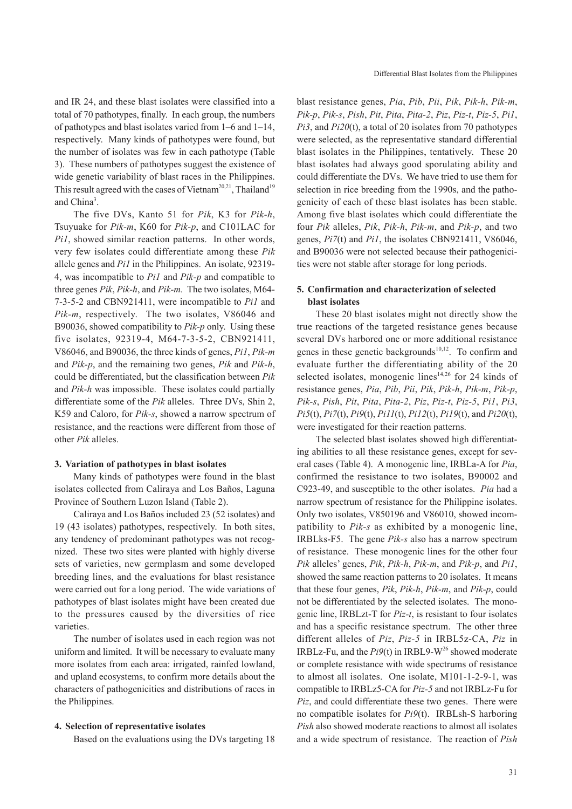and IR 24, and these blast isolates were classified into a total of 70 pathotypes, finally. In each group, the numbers of pathotypes and blast isolates varied from 1–6 and 1–14, respectively. Many kinds of pathotypes were found, but the number of isolates was few in each pathotype (Table 3). These numbers of pathotypes suggest the existence of wide genetic variability of blast races in the Philippines. This result agreed with the cases of Vietnam<sup>20,21</sup>, Thailand<sup>19</sup> and China<sup>3</sup>.

The five DVs, Kanto 51 for *Pik*, K3 for *Pik-h*, Tsuyuake for *Pik-m*, K60 for *Pik-p*, and C101LAC for *Pi1*, showed similar reaction patterns. In other words, very few isolates could differentiate among these *Pik* allele genes and *Pi1* in the Philippines. An isolate, 92319- 4, was incompatible to *Pi1* and *Pik-p* and compatible to three genes *Pik*, *Pik-h*, and *Pik-m.* The two isolates, M64- 7-3-5-2 and CBN921411, were incompatible to *Pi1* and *Pik-m*, respectively. The two isolates, V86046 and B90036, showed compatibility to *Pik-p* only. Using these five isolates, 92319-4, M64-7-3-5-2, CBN921411, V86046, and B90036, the three kinds of genes, *Pi1*, *Pik-m* and *Pik-p*, and the remaining two genes, *Pik* and *Pik-h*, could be differentiated, but the classification between *Pik* and *Pik-h* was impossible. These isolates could partially differentiate some of the *Pik* alleles. Three DVs, Shin 2, K59 and Caloro, for *Pik-s*, showed a narrow spectrum of resistance, and the reactions were different from those of other *Pik* alleles.

#### **3. Variation of pathotypes in blast isolates**

Many kinds of pathotypes were found in the blast isolates collected from Caliraya and Los Baños, Laguna Province of Southern Luzon Island (Table 2).

Caliraya and Los Baños included 23 (52 isolates) and 19 (43 isolates) pathotypes, respectively. In both sites, any tendency of predominant pathotypes was not recognized. These two sites were planted with highly diverse sets of varieties, new germplasm and some developed breeding lines, and the evaluations for blast resistance were carried out for a long period. The wide variations of pathotypes of blast isolates might have been created due to the pressures caused by the diversities of rice varieties.

The number of isolates used in each region was not uniform and limited. It will be necessary to evaluate many more isolates from each area: irrigated, rainfed lowland, and upland ecosystems, to confirm more details about the characters of pathogenicities and distributions of races in the Philippines.

#### **4. Selection of representative isolates**

Based on the evaluations using the DVs targeting 18

blast resistance genes, *Pia*, *Pib*, *Pii*, *Pik*, *Pik-h*, *Pik-m*, *Pik-p*, *Pik-s*, *Pish*, *Pit*, *Pita*, *Pita-2*, *Piz*, *Piz-t*, *Piz-5*, *Pi1*, *Pi3*, and *Pi20*(t), a total of 20 isolates from 70 pathotypes were selected, as the representative standard differential blast isolates in the Philippines, tentatively. These 20 blast isolates had always good sporulating ability and could differentiate the DVs. We have tried to use them for selection in rice breeding from the 1990s, and the pathogenicity of each of these blast isolates has been stable. Among five blast isolates which could differentiate the four *Pik* alleles, *Pik*, *Pik-h*, *Pik-m*, and *Pik-p*, and two genes, *Pi7*(t) and *Pi1*, the isolates CBN921411, V86046, and B90036 were not selected because their pathogenicities were not stable after storage for long periods.

### **5. Confirmation and characterization of selected blast isolates**

These 20 blast isolates might not directly show the true reactions of the targeted resistance genes because several DVs harbored one or more additional resistance genes in these genetic backgrounds $10,12$ . To confirm and evaluate further the differentiating ability of the 20 selected isolates, monogenic lines<sup>14,26</sup> for 24 kinds of resistance genes, *Pia*, *Pib*, *Pii*, *Pik*, *Pik-h*, *Pik-m*, *Pik-p*, *Pik-s*, *Pish*, *Pit*, *Pita*, *Pita-2*, *Piz*, *Piz-t*, *Piz-5*, *Pi1*, *Pi3*, *Pi5*(t), *Pi7*(t), *Pi9*(t), *Pi11*(t), *Pi12*(t), *Pi19*(t), and *Pi20*(t), were investigated for their reaction patterns.

The selected blast isolates showed high differentiating abilities to all these resistance genes, except for several cases (Table 4). A monogenic line, IRBLa-A for *Pia*, confirmed the resistance to two isolates, B90002 and C923-49, and susceptible to the other isolates. *Pia* had a narrow spectrum of resistance for the Philippine isolates. Only two isolates, V850196 and V86010, showed incompatibility to *Pik-s* as exhibited by a monogenic line, IRBLks-F5. The gene *Pik-s* also has a narrow spectrum of resistance. These monogenic lines for the other four *Pik* alleles' genes, *Pik*, *Pik-h*, *Pik-m*, and *Pik-p*, and *Pi1*, showed the same reaction patterns to 20 isolates. It means that these four genes, *Pik*, *Pik-h*, *Pik-m*, and *Pik-p*, could not be differentiated by the selected isolates. The monogenic line, IRBLzt-T for *Piz-t*, is resistant to four isolates and has a specific resistance spectrum. The other three different alleles of *Piz*, *Piz-5* in IRBL5z-CA, *Piz* in IRBLz-Fu, and the  $Pi(0)$  in IRBL9-W<sup>26</sup> showed moderate or complete resistance with wide spectrums of resistance to almost all isolates. One isolate, M101-1-2-9-1, was compatible to IRBLz5-CA for *Piz-5* and not IRBLz-Fu for *Piz*, and could differentiate these two genes. There were no compatible isolates for *Pi9*(t). IRBLsh-S harboring *Pish* also showed moderate reactions to almost all isolates and a wide spectrum of resistance. The reaction of *Pish*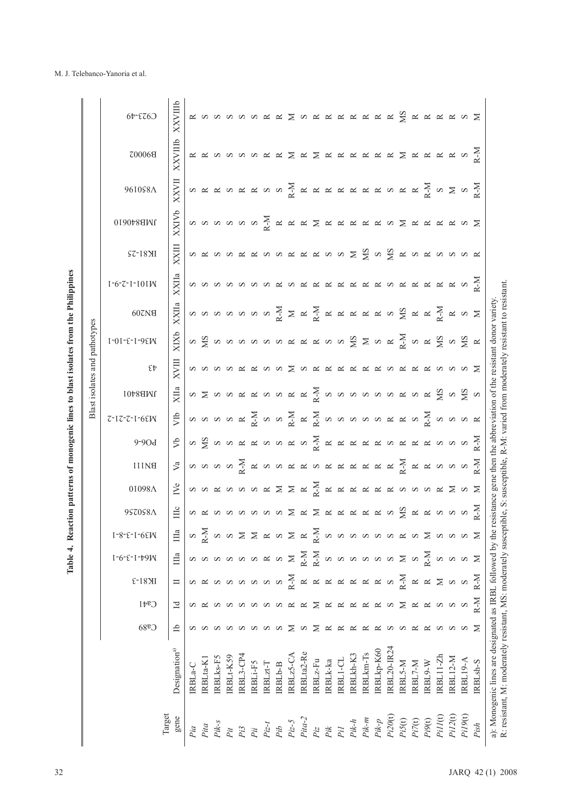| i<br>:<br>ה<br>l                                               |  |
|----------------------------------------------------------------|--|
|                                                                |  |
| l                                                              |  |
| i                                                              |  |
| J<br>CH WORK CAN<br>í<br>$\begin{array}{c} \hline \end{array}$ |  |
|                                                                |  |
| $\ddot{\phantom{0}}$<br>$\vdots$                               |  |

|                                                                                                                                                                                                                                                                                                                                                                                                           |                 |                  |                    |                                                                                                                                                                                    |                                               |         |                                                                                                                         |                                                                                                                                                                                                                                       |         |                                                                                                                                                   |                                                                                                                                                                                                                                  |                    | Blast isolates and pathotypes |       |                       |         |              |              |               |                                               |
|-----------------------------------------------------------------------------------------------------------------------------------------------------------------------------------------------------------------------------------------------------------------------------------------------------------------------------------------------------------------------------------------------------------|-----------------|------------------|--------------------|------------------------------------------------------------------------------------------------------------------------------------------------------------------------------------|-----------------------------------------------|---------|-------------------------------------------------------------------------------------------------------------------------|---------------------------------------------------------------------------------------------------------------------------------------------------------------------------------------------------------------------------------------|---------|---------------------------------------------------------------------------------------------------------------------------------------------------|----------------------------------------------------------------------------------------------------------------------------------------------------------------------------------------------------------------------------------|--------------------|-------------------------------|-------|-----------------------|---------|--------------|--------------|---------------|-----------------------------------------------|
|                                                                                                                                                                                                                                                                                                                                                                                                           | C <sub>88</sub> | Caf1             | E-18 <sub>N1</sub> | $1 - 6 - 5 - 1 - 1 - 9$                                                                                                                                                            | $1 - 8 - 5 - 1 - 65$ W                        | 9SZ0S8A | 01098Λ                                                                                                                  | <b>BILINE</b>                                                                                                                                                                                                                         | $9-90d$ | $7 - 17 - 7 - 1 - 65$                                                                                                                             | JMB8401                                                                                                                                                                                                                          | $\epsilon_{\rm t}$ | $I - 0I - E - I - 9E$ W       | 607N8 | $1 - 6 - 7 - 1 - 101$ | IK81-25 | 0190788INI   | 961058Λ      | <b>Z00068</b> | $C$ $O$ $3$ <sup>-<math>\sqrt{d}</math></sup> |
| Designation <sup>a)</sup>                                                                                                                                                                                                                                                                                                                                                                                 | đ               | $\mathbf{d}$     | $\Box$             | Ша                                                                                                                                                                                 | Ша                                            | Шς      |                                                                                                                         |                                                                                                                                                                                                                                       |         |                                                                                                                                                   | $X$ IIa                                                                                                                                                                                                                          | <b>XVIII</b>       | XIXb                          | XXIIa | XXIIa                 | XXIII   | <b>XXIVb</b> | <b>XXVII</b> | XXVIIIb       | XXVIIIb                                       |
| RBLa-C                                                                                                                                                                                                                                                                                                                                                                                                    |                 |                  |                    |                                                                                                                                                                                    |                                               |         | $\sum_{i=1}^{n} \infty$ a k k a v a k $\sum_{i=1}^{n} \sum_{i=1}^{n}$ k k k k k k k k k v a v k $\sum_{i=1}^{n} \infty$ | $\mathbb{R}$   თ თ თ თ $\mathbb{R}$   standa standa standa standa standa standa standa standa standa standa standa standa standa standa standa standa standa standa standa standa standa standa standa standa standa standa standa st |         | $\frac{1}{2}$   a a a a $\frac{1}{2}$ $\frac{1}{2}$ a a $\frac{1}{2}$ $\frac{1}{2}$ $\frac{1}{2}$ a a a a a a $\frac{1}{2}$ a a a a $\frac{1}{2}$ |                                                                                                                                                                                                                                  |                    |                               |       |                       |         |              |              |               |                                               |
| [RBLta-K]                                                                                                                                                                                                                                                                                                                                                                                                 |                 |                  |                    | <b>a</b> a a a a a a $\times$                                                                                                                                                      | $\frac{1}{2}$ $\alpha$                        |         |                                                                                                                         |                                                                                                                                                                                                                                       |         |                                                                                                                                                   | s distribution di distribution di distribution di distribution di distribution di distribution di distribution<br>Tenentificazione di distributione di distributione di distributione di distributione di distributione di distr |                    |                               |       |                       |         |              |              |               |                                               |
| RBLks-F5                                                                                                                                                                                                                                                                                                                                                                                                  |                 |                  |                    |                                                                                                                                                                                    |                                               |         |                                                                                                                         |                                                                                                                                                                                                                                       |         |                                                                                                                                                   |                                                                                                                                                                                                                                  |                    |                               |       |                       |         |              |              |               |                                               |
| RBLt-K59                                                                                                                                                                                                                                                                                                                                                                                                  |                 |                  |                    |                                                                                                                                                                                    | α α Σ Σ α α Σ α Σ α α α α α α α α α Σ α α α Σ |         |                                                                                                                         |                                                                                                                                                                                                                                       |         |                                                                                                                                                   |                                                                                                                                                                                                                                  |                    |                               |       |                       |         |              |              |               |                                               |
| RBL3-CP4                                                                                                                                                                                                                                                                                                                                                                                                  | a a a           | anna             |                    |                                                                                                                                                                                    |                                               |         |                                                                                                                         |                                                                                                                                                                                                                                       |         |                                                                                                                                                   |                                                                                                                                                                                                                                  |                    |                               |       |                       |         |              |              |               |                                               |
| <b>RBLi-F5</b><br>$\begin{array}{lll} \mathbb{A}^n & \mathbb{R}^n & \mathbb{R}^n & \mathbb{R}^n & \mathbb{R}^n & \mathbb{R}^n & \mathbb{R}^n & \mathbb{R}^n & \mathbb{R}^n & \mathbb{R}^n & \mathbb{R}^n & \mathbb{R}^n & \mathbb{R}^n & \mathbb{R}^n & \mathbb{R}^n & \mathbb{R}^n & \mathbb{R}^n & \mathbb{R}^n & \mathbb{R}^n & \mathbb{R}^n & \mathbb{R}^n & \mathbb{R}^n & \mathbb{R}^n & \mathbb{R$ |                 |                  |                    |                                                                                                                                                                                    |                                               |         |                                                                                                                         |                                                                                                                                                                                                                                       |         |                                                                                                                                                   |                                                                                                                                                                                                                                  |                    |                               |       |                       |         |              |              |               |                                               |
| RBLzt-T                                                                                                                                                                                                                                                                                                                                                                                                   | S               |                  |                    |                                                                                                                                                                                    |                                               |         |                                                                                                                         |                                                                                                                                                                                                                                       |         |                                                                                                                                                   |                                                                                                                                                                                                                                  |                    |                               |       |                       |         |              |              |               |                                               |
| RBL <sub>b-B</sub>                                                                                                                                                                                                                                                                                                                                                                                        |                 | $\infty$         |                    |                                                                                                                                                                                    |                                               |         |                                                                                                                         |                                                                                                                                                                                                                                       |         |                                                                                                                                                   |                                                                                                                                                                                                                                  |                    |                               |       |                       |         |              |              |               |                                               |
| RBLz5-CA                                                                                                                                                                                                                                                                                                                                                                                                  | ⋝               | $\approx$        |                    |                                                                                                                                                                                    |                                               |         |                                                                                                                         |                                                                                                                                                                                                                                       |         |                                                                                                                                                   |                                                                                                                                                                                                                                  |                    |                               |       |                       |         |              |              |               |                                               |
| RBLta2-Re                                                                                                                                                                                                                                                                                                                                                                                                 | S               | $\approx$        |                    |                                                                                                                                                                                    |                                               |         |                                                                                                                         |                                                                                                                                                                                                                                       |         |                                                                                                                                                   |                                                                                                                                                                                                                                  |                    |                               |       |                       |         |              |              |               |                                               |
| $RBLz-Fu$                                                                                                                                                                                                                                                                                                                                                                                                 | $\geq$          | $\geq$           |                    |                                                                                                                                                                                    |                                               |         |                                                                                                                         |                                                                                                                                                                                                                                       |         |                                                                                                                                                   |                                                                                                                                                                                                                                  |                    |                               |       |                       |         |              |              |               |                                               |
| IRBLk-ka                                                                                                                                                                                                                                                                                                                                                                                                  | $\approx$       | $\simeq$         |                    |                                                                                                                                                                                    |                                               |         |                                                                                                                         |                                                                                                                                                                                                                                       |         |                                                                                                                                                   |                                                                                                                                                                                                                                  |                    |                               |       |                       |         |              |              |               |                                               |
| IRBL1-CL                                                                                                                                                                                                                                                                                                                                                                                                  | $\approx$       |                  |                    |                                                                                                                                                                                    |                                               |         |                                                                                                                         |                                                                                                                                                                                                                                       |         |                                                                                                                                                   |                                                                                                                                                                                                                                  |                    |                               |       |                       |         |              |              |               |                                               |
| IRBLkh-K3                                                                                                                                                                                                                                                                                                                                                                                                 | $\approx$       |                  |                    |                                                                                                                                                                                    |                                               |         |                                                                                                                         |                                                                                                                                                                                                                                       |         |                                                                                                                                                   |                                                                                                                                                                                                                                  |                    |                               |       |                       |         |              |              |               |                                               |
| RBLkm-Ts                                                                                                                                                                                                                                                                                                                                                                                                  | $\approx$       | <b>K K K K</b> S |                    | $\sum\limits_{i=1}^{n} \sum\limits_{i=1}^{n} \infty$ a a a a a $\sum\limits_{i=1}^{n} \infty$ a $\sum\limits_{i=1}^{n} \sum\limits_{i=1}^{n} \infty$ a a a $\sum\limits_{i=1}^{n}$ |                                               |         |                                                                                                                         |                                                                                                                                                                                                                                       |         |                                                                                                                                                   |                                                                                                                                                                                                                                  |                    |                               |       |                       |         |              |              |               |                                               |
| RBLkp-K60                                                                                                                                                                                                                                                                                                                                                                                                 | $\approx$       |                  |                    |                                                                                                                                                                                    |                                               |         |                                                                                                                         |                                                                                                                                                                                                                                       |         |                                                                                                                                                   |                                                                                                                                                                                                                                  |                    |                               |       |                       |         |              |              |               |                                               |
| RBL20-IR24                                                                                                                                                                                                                                                                                                                                                                                                | S               |                  |                    |                                                                                                                                                                                    |                                               |         |                                                                                                                         |                                                                                                                                                                                                                                       |         |                                                                                                                                                   |                                                                                                                                                                                                                                  |                    |                               |       |                       |         |              |              |               |                                               |
| IRBL5-M                                                                                                                                                                                                                                                                                                                                                                                                   | S               | $\geq$           |                    |                                                                                                                                                                                    |                                               |         |                                                                                                                         |                                                                                                                                                                                                                                       |         |                                                                                                                                                   |                                                                                                                                                                                                                                  |                    |                               |       |                       |         |              |              |               |                                               |
| RBL7-M                                                                                                                                                                                                                                                                                                                                                                                                    | $\approx$       |                  |                    |                                                                                                                                                                                    |                                               |         |                                                                                                                         |                                                                                                                                                                                                                                       |         |                                                                                                                                                   |                                                                                                                                                                                                                                  |                    |                               |       |                       |         |              |              |               |                                               |
| IRBL9-W                                                                                                                                                                                                                                                                                                                                                                                                   | $\approx$       |                  |                    |                                                                                                                                                                                    |                                               |         |                                                                                                                         |                                                                                                                                                                                                                                       |         |                                                                                                                                                   |                                                                                                                                                                                                                                  |                    |                               |       |                       |         |              |              |               |                                               |
| RBL11-Zh                                                                                                                                                                                                                                                                                                                                                                                                  | S               | <b>KK</b> K K K  |                    |                                                                                                                                                                                    |                                               |         |                                                                                                                         |                                                                                                                                                                                                                                       |         |                                                                                                                                                   |                                                                                                                                                                                                                                  |                    |                               |       |                       |         |              |              |               |                                               |
| <b>RBL12-M</b>                                                                                                                                                                                                                                                                                                                                                                                            | $\infty$        |                  |                    |                                                                                                                                                                                    |                                               |         |                                                                                                                         |                                                                                                                                                                                                                                       |         |                                                                                                                                                   |                                                                                                                                                                                                                                  |                    |                               |       |                       |         |              |              |               |                                               |
| RBL19-A                                                                                                                                                                                                                                                                                                                                                                                                   |                 |                  |                    |                                                                                                                                                                                    |                                               |         |                                                                                                                         |                                                                                                                                                                                                                                       |         |                                                                                                                                                   |                                                                                                                                                                                                                                  |                    |                               |       |                       |         |              |              |               |                                               |
| RBL <sub>sh-S</sub>                                                                                                                                                                                                                                                                                                                                                                                       | $\geq$          | $R-M$            |                    |                                                                                                                                                                                    |                                               |         |                                                                                                                         |                                                                                                                                                                                                                                       |         |                                                                                                                                                   |                                                                                                                                                                                                                                  |                    |                               |       |                       |         |              |              |               |                                               |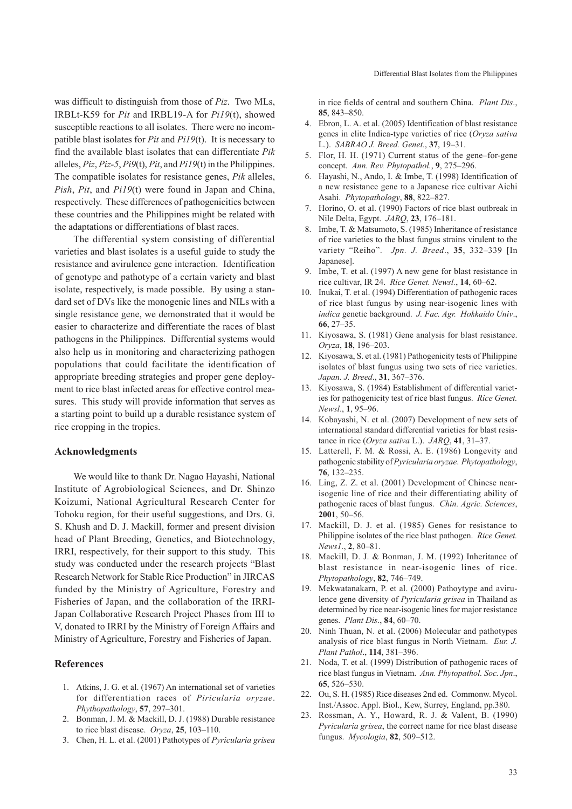was difficult to distinguish from those of *Piz*. Two MLs, IRBLt-K59 for *Pit* and IRBL19-A for *Pi19*(t), showed susceptible reactions to all isolates. There were no incompatible blast isolates for *Pit* and *Pi19*(t). It is necessary to find the available blast isolates that can differentiate *Pik* alleles, *Piz*, *Piz-5*, *Pi9*(t), *Pit*, and *Pi19*(t) in the Philippines. The compatible isolates for resistance genes, *Pik* alleles, *Pish*, *Pit*, and *Pi19*(t) were found in Japan and China, respectively. These differences of pathogenicities between these countries and the Philippines might be related with the adaptations or differentiations of blast races.

The differential system consisting of differential varieties and blast isolates is a useful guide to study the resistance and avirulence gene interaction. Identification of genotype and pathotype of a certain variety and blast isolate, respectively, is made possible. By using a standard set of DVs like the monogenic lines and NILs with a single resistance gene, we demonstrated that it would be easier to characterize and differentiate the races of blast pathogens in the Philippines. Differential systems would also help us in monitoring and characterizing pathogen populations that could facilitate the identification of appropriate breeding strategies and proper gene deployment to rice blast infected areas for effective control measures. This study will provide information that serves as a starting point to build up a durable resistance system of rice cropping in the tropics.

### **Acknowledgments**

We would like to thank Dr. Nagao Hayashi, National Institute of Agrobiological Sciences, and Dr. Shinzo Koizumi, National Agricultural Research Center for Tohoku region, for their useful suggestions, and Drs. G. S. Khush and D. J. Mackill, former and present division head of Plant Breeding, Genetics, and Biotechnology, IRRI, respectively, for their support to this study. This study was conducted under the research projects "Blast Research Network for Stable Rice Production" in JIRCAS funded by the Ministry of Agriculture, Forestry and Fisheries of Japan, and the collaboration of the IRRI-Japan Collaborative Research Project Phases from III to V, donated to IRRI by the Ministry of Foreign Affairs and Ministry of Agriculture, Forestry and Fisheries of Japan.

#### **References**

- 1. Atkins, J. G. et al. (1967) An international set of varieties for differentiation races of *Piricularia oryzae*. *Phythopathology*, **57**, 297–301.
- 2. Bonman, J. M. & Mackill, D. J. (1988) Durable resistance to rice blast disease. *Oryza*, **25**, 103–110.
- 3. Chen, H. L. et al. (2001) Pathotypes of *Pyricularia grisea*

in rice fields of central and southern China. *Plant Dis*., **85**, 843–850.

- 4. Ebron, L. A. et al. (2005) Identification of blast resistance genes in elite Indica-type varieties of rice (*Oryza sativa*  L.). *SABRAO J. Breed. Genet.*, **37**, 19–31.
- 5. Flor, H. H. (1971) Current status of the gene–for-gene concept. *Ann. Rev. Phytopathol.*, **9**, 275–296.
- 6. Hayashi, N., Ando, I. & Imbe, T. (1998) Identification of a new resistance gene to a Japanese rice cultivar Aichi Asahi. *Phytopathology*, **88**, 822–827.
- 7. Horino, O. et al. (1990) Factors of rice blast outbreak in Nile Delta, Egypt. *JARQ*, **23**, 176–181.
- 8. Imbe, T. & Matsumoto, S. (1985) Inheritance of resistance of rice varieties to the blast fungus strains virulent to the variety "Reiho". *Jpn. J. Breed*., **35**, 332–339 [In Japanese].
- 9. Imbe, T. et al. (1997) A new gene for blast resistance in rice cultivar, IR 24. *Rice Genet. Newsl.*, **14**, 60–62.
- 10. Inukai, T. et al. (1994) Differentiation of pathogenic races of rice blast fungus by using near-isogenic lines with *indica* genetic background. *J. Fac. Agr. Hokkaido Univ*., **66**, 27–35.
- 11. Kiyosawa, S. (1981) Gene analysis for blast resistance. *Oryza*, **18**, 196–203.
- 12. Kiyosawa, S. et al. (1981) Pathogenicity tests of Philippine isolates of blast fungus using two sets of rice varieties. *Japan. J. Breed*., **31**, 367–376.
- 13. Kiyosawa, S. (1984) Establishment of differential varieties for pathogenicity test of rice blast fungus. *Rice Genet. Newsl*., **1**, 95–96.
- 14. Kobayashi, N. et al. (2007) Development of new sets of international standard differential varieties for blast resistance in rice (*Oryza sativa* L.). *JARQ*, **41**, 31–37.
- 15. Latterell, F. M. & Rossi, A. E. (1986) Longevity and pathogenic stability of *Pyricularia oryzae*. *Phytopathology*, **76**, 132–235.
- 16. Ling, Z. Z. et al. (2001) Development of Chinese nearisogenic line of rice and their differentiating ability of pathogenic races of blast fungus. *Chin. Agric. Sciences*, **2001**, 50–56.
- 17. Mackill, D. J. et al. (1985) Genes for resistance to Philippine isolates of the rice blast pathogen. *Rice Genet. News1*., **2**, 80–81.
- 18. Mackill, D. J. & Bonman, J. M. (1992) Inheritance of blast resistance in near-isogenic lines of rice. *Phytopathology*, **82**, 746–749.
- 19. Mekwatanakarn, P. et al. (2000) Pathoytype and avirulence gene diversity of *Pyricularia grisea* in Thailand as determined by rice near-isogenic lines for major resistance genes. *Plant Dis*., **84**, 60–70.
- 20. Ninh Thuan, N. et al. (2006) Molecular and pathotypes analysis of rice blast fungus in North Vietnam. *Eur. J. Plant Pathol*., **114**, 381–396.
- 21. Noda, T. et al. (1999) Distribution of pathogenic races of rice blast fungus in Vietnam. *Ann. Phytopathol. Soc. Jpn*., **65**, 526–530.
- 22. Ou, S. H. (1985) Rice diseases 2nd ed. Commonw. Mycol. Inst./Assoc. Appl. Biol., Kew, Surrey, England, pp.380.
- 23. Rossman, A. Y., Howard, R. J. & Valent, B. (1990) *Pyricularia grisea*, the correct name for rice blast disease fungus. *Mycologia*, **82**, 509–512.